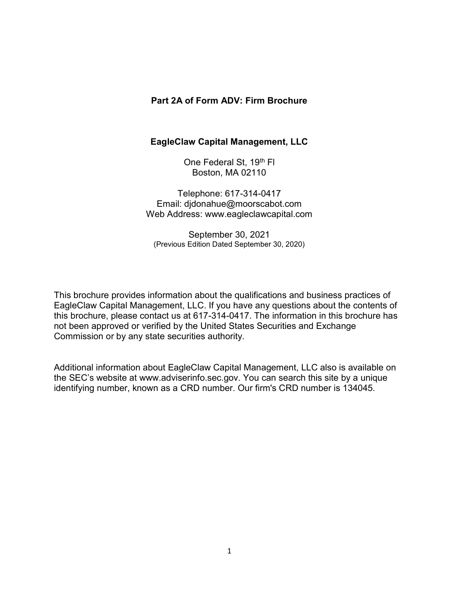#### Part 2A of Form ADV: Firm Brochure

#### EagleClaw Capital Management, LLC

One Federal St, 19<sup>th</sup> FI Boston, MA 02110

Telephone: 617-314-0417 Email: djdonahue@moorscabot.com Web Address: www.eagleclawcapital.com

September 30, 2021 (Previous Edition Dated September 30, 2020)

This brochure provides information about the qualifications and business practices of EagleClaw Capital Management, LLC. If you have any questions about the contents of this brochure, please contact us at 617-314-0417. The information in this brochure has not been approved or verified by the United States Securities and Exchange Commission or by any state securities authority.

Additional information about EagleClaw Capital Management, LLC also is available on the SEC's website at www.adviserinfo.sec.gov. You can search this site by a unique identifying number, known as a CRD number. Our firm's CRD number is 134045.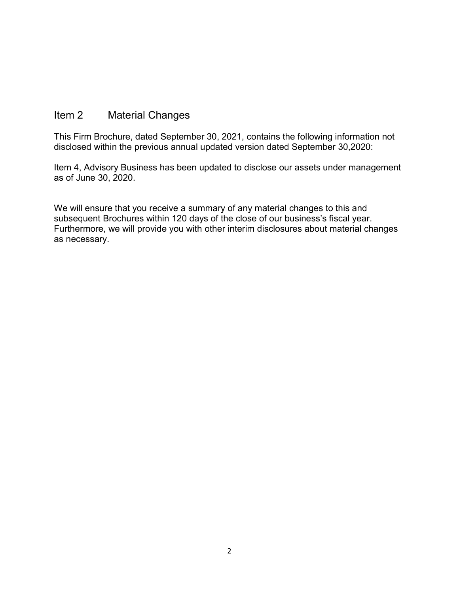## Item 2 Material Changes

This Firm Brochure, dated September 30, 2021, contains the following information not disclosed within the previous annual updated version dated September 30,2020:

Item 4, Advisory Business has been updated to disclose our assets under management as of June 30, 2020.

We will ensure that you receive a summary of any material changes to this and subsequent Brochures within 120 days of the close of our business's fiscal year. Furthermore, we will provide you with other interim disclosures about material changes as necessary.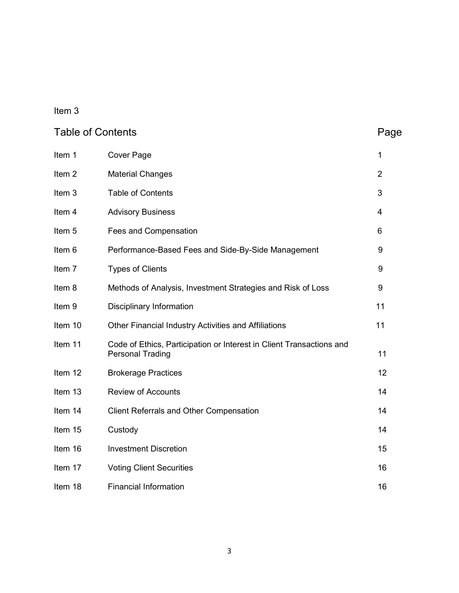# Item 3

| <b>Table of Contents</b> |                                                                                                 | Page           |
|--------------------------|-------------------------------------------------------------------------------------------------|----------------|
| Item 1                   | <b>Cover Page</b>                                                                               | $\mathbf{1}$   |
| Item <sub>2</sub>        | <b>Material Changes</b>                                                                         | $\overline{2}$ |
| Item 3                   | <b>Table of Contents</b>                                                                        | 3              |
| Item 4                   | <b>Advisory Business</b>                                                                        | 4              |
| Item 5                   | Fees and Compensation                                                                           | 6              |
| Item 6                   | Performance-Based Fees and Side-By-Side Management                                              | 9              |
| Item 7                   | <b>Types of Clients</b>                                                                         | 9              |
| Item 8                   | Methods of Analysis, Investment Strategies and Risk of Loss                                     | 9              |
| Item 9                   | <b>Disciplinary Information</b>                                                                 | 11             |
| Item 10                  | Other Financial Industry Activities and Affiliations                                            | 11             |
| Item 11                  | Code of Ethics, Participation or Interest in Client Transactions and<br><b>Personal Trading</b> | 11             |
| Item 12                  | <b>Brokerage Practices</b>                                                                      | 12             |
| Item 13                  | <b>Review of Accounts</b>                                                                       | 14             |
| Item 14                  | <b>Client Referrals and Other Compensation</b>                                                  | 14             |
| Item 15                  | Custody                                                                                         | 14             |
| Item 16                  | <b>Investment Discretion</b>                                                                    | 15             |
| Item 17                  | <b>Voting Client Securities</b>                                                                 | 16             |
| Item 18                  | <b>Financial Information</b>                                                                    | 16             |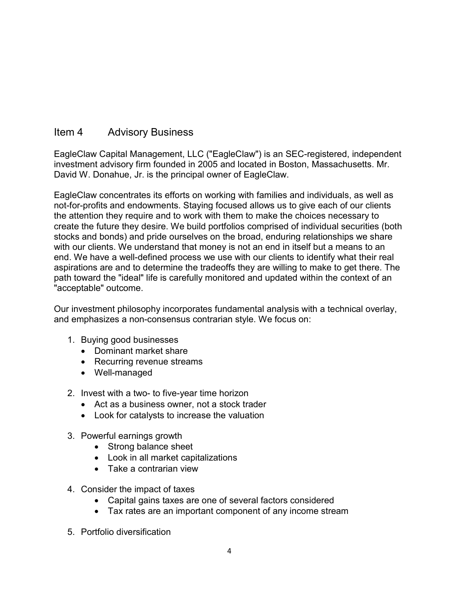## Item 4 Advisory Business

EagleClaw Capital Management, LLC ("EagleClaw") is an SEC-registered, independent investment advisory firm founded in 2005 and located in Boston, Massachusetts. Mr. David W. Donahue, Jr. is the principal owner of EagleClaw.

EagleClaw concentrates its efforts on working with families and individuals, as well as not-for-profits and endowments. Staying focused allows us to give each of our clients the attention they require and to work with them to make the choices necessary to create the future they desire. We build portfolios comprised of individual securities (both stocks and bonds) and pride ourselves on the broad, enduring relationships we share with our clients. We understand that money is not an end in itself but a means to an end. We have a well-defined process we use with our clients to identify what their real aspirations are and to determine the tradeoffs they are willing to make to get there. The path toward the "ideal" life is carefully monitored and updated within the context of an "acceptable" outcome.

Our investment philosophy incorporates fundamental analysis with a technical overlay, and emphasizes a non-consensus contrarian style. We focus on:

- 1. Buying good businesses
	- Dominant market share
	- Recurring revenue streams
	- Well-managed
- 2. Invest with a two- to five-year time horizon
	- Act as a business owner, not a stock trader
	- Look for catalysts to increase the valuation
- 3. Powerful earnings growth
	- Strong balance sheet
	- Look in all market capitalizations
	- Take a contrarian view
- 4. Consider the impact of taxes
	- Capital gains taxes are one of several factors considered
	- Tax rates are an important component of any income stream
- 5. Portfolio diversification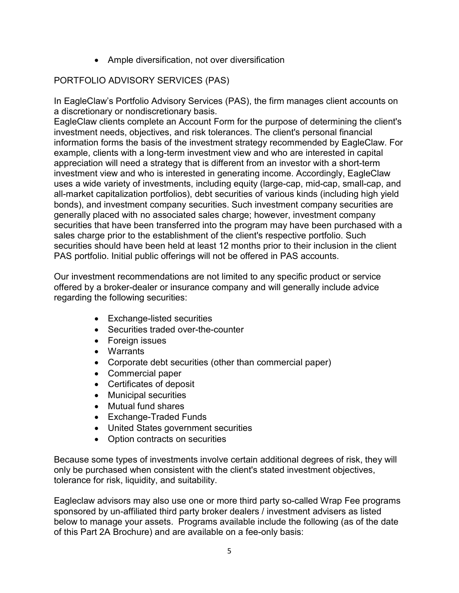• Ample diversification, not over diversification

### PORTFOLIO ADVISORY SERVICES (PAS)

In EagleClaw's Portfolio Advisory Services (PAS), the firm manages client accounts on a discretionary or nondiscretionary basis.

EagleClaw clients complete an Account Form for the purpose of determining the client's investment needs, objectives, and risk tolerances. The client's personal financial information forms the basis of the investment strategy recommended by EagleClaw. For example, clients with a long-term investment view and who are interested in capital appreciation will need a strategy that is different from an investor with a short-term investment view and who is interested in generating income. Accordingly, EagleClaw uses a wide variety of investments, including equity (large-cap, mid-cap, small-cap, and all-market capitalization portfolios), debt securities of various kinds (including high yield bonds), and investment company securities. Such investment company securities are generally placed with no associated sales charge; however, investment company securities that have been transferred into the program may have been purchased with a sales charge prior to the establishment of the client's respective portfolio. Such securities should have been held at least 12 months prior to their inclusion in the client PAS portfolio. Initial public offerings will not be offered in PAS accounts.

Our investment recommendations are not limited to any specific product or service offered by a broker-dealer or insurance company and will generally include advice regarding the following securities:

- Exchange-listed securities
- Securities traded over-the-counter
- Foreign issues
- Warrants
- Corporate debt securities (other than commercial paper)
- Commercial paper
- Certificates of deposit
- Municipal securities
- Mutual fund shares
- Exchange-Traded Funds
- United States government securities
- Option contracts on securities

Because some types of investments involve certain additional degrees of risk, they will only be purchased when consistent with the client's stated investment objectives, tolerance for risk, liquidity, and suitability.

Eagleclaw advisors may also use one or more third party so-called Wrap Fee programs sponsored by un-affiliated third party broker dealers / investment advisers as listed below to manage your assets. Programs available include the following (as of the date of this Part 2A Brochure) and are available on a fee-only basis: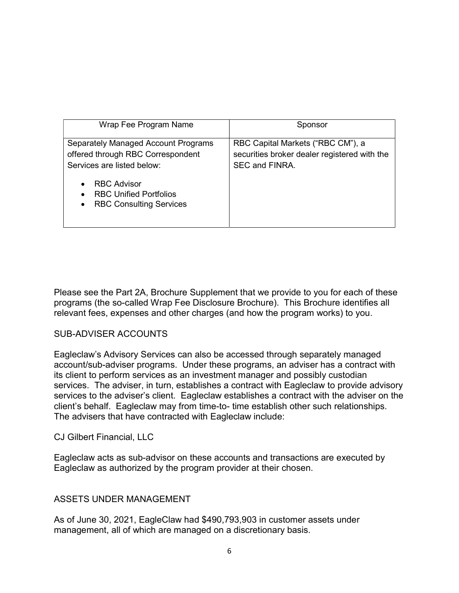| Wrap Fee Program Name                                                                                                                                                                                                                  | Sponsor                                                                                             |
|----------------------------------------------------------------------------------------------------------------------------------------------------------------------------------------------------------------------------------------|-----------------------------------------------------------------------------------------------------|
| Separately Managed Account Programs<br>offered through RBC Correspondent<br>Services are listed below:<br><b>RBC Advisor</b><br>$\bullet$<br><b>RBC Unified Portfolios</b><br>$\bullet$<br><b>RBC Consulting Services</b><br>$\bullet$ | RBC Capital Markets ("RBC CM"), a<br>securities broker dealer registered with the<br>SEC and FINRA. |

Please see the Part 2A, Brochure Supplement that we provide to you for each of these programs (the so-called Wrap Fee Disclosure Brochure). This Brochure identifies all relevant fees, expenses and other charges (and how the program works) to you.

#### SUB-ADVISER ACCOUNTS

Eagleclaw's Advisory Services can also be accessed through separately managed account/sub-adviser programs. Under these programs, an adviser has a contract with its client to perform services as an investment manager and possibly custodian services. The adviser, in turn, establishes a contract with Eagleclaw to provide advisory services to the adviser's client. Eagleclaw establishes a contract with the adviser on the client's behalf. Eagleclaw may from time-to- time establish other such relationships. The advisers that have contracted with Eagleclaw include:

#### CJ Gilbert Financial, LLC

Eagleclaw acts as sub-advisor on these accounts and transactions are executed by Eagleclaw as authorized by the program provider at their chosen.

#### ASSETS UNDER MANAGEMENT

As of June 30, 2021, EagleClaw had \$490,793,903 in customer assets under management, all of which are managed on a discretionary basis.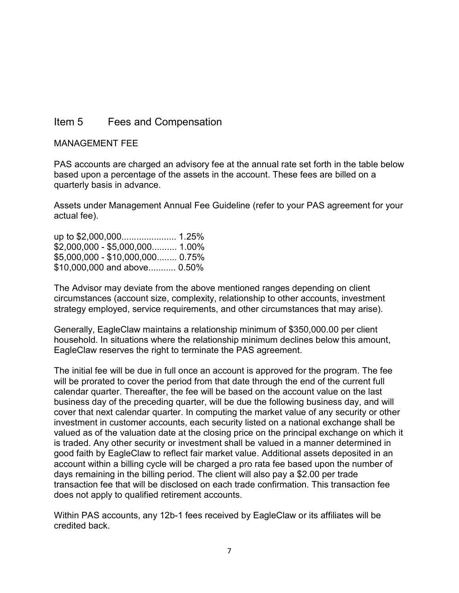## Item 5 Fees and Compensation

#### MANAGEMENT FEE

PAS accounts are charged an advisory fee at the annual rate set forth in the table below based upon a percentage of the assets in the account. These fees are billed on a quarterly basis in advance.

Assets under Management Annual Fee Guideline (refer to your PAS agreement for your actual fee).

| $$2,000,000 - $5,000,000$ 1.00%  |  |
|----------------------------------|--|
| \$5.000.000 - \$10.000,000 0.75% |  |
| \$10,000,000 and above 0.50%     |  |

The Advisor may deviate from the above mentioned ranges depending on client circumstances (account size, complexity, relationship to other accounts, investment strategy employed, service requirements, and other circumstances that may arise).

Generally, EagleClaw maintains a relationship minimum of \$350,000.00 per client household. In situations where the relationship minimum declines below this amount, EagleClaw reserves the right to terminate the PAS agreement.

The initial fee will be due in full once an account is approved for the program. The fee will be prorated to cover the period from that date through the end of the current full calendar quarter. Thereafter, the fee will be based on the account value on the last business day of the preceding quarter, will be due the following business day, and will cover that next calendar quarter. In computing the market value of any security or other investment in customer accounts, each security listed on a national exchange shall be valued as of the valuation date at the closing price on the principal exchange on which it is traded. Any other security or investment shall be valued in a manner determined in good faith by EagleClaw to reflect fair market value. Additional assets deposited in an account within a billing cycle will be charged a pro rata fee based upon the number of days remaining in the billing period. The client will also pay a \$2.00 per trade transaction fee that will be disclosed on each trade confirmation. This transaction fee does not apply to qualified retirement accounts.

Within PAS accounts, any 12b-1 fees received by EagleClaw or its affiliates will be credited back.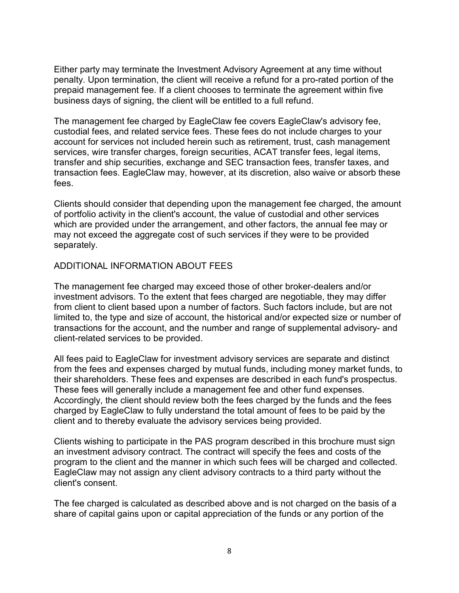Either party may terminate the Investment Advisory Agreement at any time without penalty. Upon termination, the client will receive a refund for a pro-rated portion of the prepaid management fee. If a client chooses to terminate the agreement within five business days of signing, the client will be entitled to a full refund.

The management fee charged by EagleClaw fee covers EagleClaw's advisory fee, custodial fees, and related service fees. These fees do not include charges to your account for services not included herein such as retirement, trust, cash management services, wire transfer charges, foreign securities, ACAT transfer fees, legal items, transfer and ship securities, exchange and SEC transaction fees, transfer taxes, and transaction fees. EagleClaw may, however, at its discretion, also waive or absorb these fees.

Clients should consider that depending upon the management fee charged, the amount of portfolio activity in the client's account, the value of custodial and other services which are provided under the arrangement, and other factors, the annual fee may or may not exceed the aggregate cost of such services if they were to be provided separately.

#### ADDITIONAL INFORMATION ABOUT FEES

The management fee charged may exceed those of other broker-dealers and/or investment advisors. To the extent that fees charged are negotiable, they may differ from client to client based upon a number of factors. Such factors include, but are not limited to, the type and size of account, the historical and/or expected size or number of transactions for the account, and the number and range of supplemental advisory- and client-related services to be provided.

All fees paid to EagleClaw for investment advisory services are separate and distinct from the fees and expenses charged by mutual funds, including money market funds, to their shareholders. These fees and expenses are described in each fund's prospectus. These fees will generally include a management fee and other fund expenses. Accordingly, the client should review both the fees charged by the funds and the fees charged by EagleClaw to fully understand the total amount of fees to be paid by the client and to thereby evaluate the advisory services being provided.

Clients wishing to participate in the PAS program described in this brochure must sign an investment advisory contract. The contract will specify the fees and costs of the program to the client and the manner in which such fees will be charged and collected. EagleClaw may not assign any client advisory contracts to a third party without the client's consent.

The fee charged is calculated as described above and is not charged on the basis of a share of capital gains upon or capital appreciation of the funds or any portion of the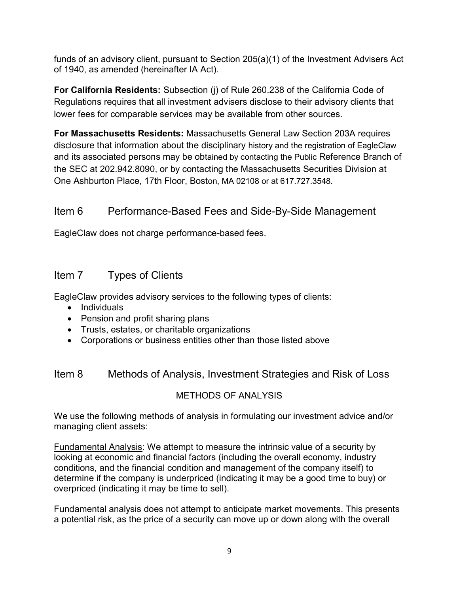funds of an advisory client, pursuant to Section 205(a)(1) of the Investment Advisers Act of 1940, as amended (hereinafter IA Act).

For California Residents: Subsection (j) of Rule 260.238 of the California Code of Regulations requires that all investment advisers disclose to their advisory clients that lower fees for comparable services may be available from other sources.

For Massachusetts Residents: Massachusetts General Law Section 203A requires disclosure that information about the disciplinary history and the registration of EagleClaw and its associated persons may be obtained by contacting the Public Reference Branch of the SEC at 202.942.8090, or by contacting the Massachusetts Securities Division at One Ashburton Place, 17th Floor, Boston, MA 02108 or at 617.727.3548.

## Item 6 Performance-Based Fees and Side-By-Side Management

EagleClaw does not charge performance-based fees.

## Item 7 Types of Clients

EagleClaw provides advisory services to the following types of clients:

- Individuals
- Pension and profit sharing plans
- Trusts, estates, or charitable organizations
- Corporations or business entities other than those listed above

## Item 8 Methods of Analysis, Investment Strategies and Risk of Loss

### METHODS OF ANALYSIS

We use the following methods of analysis in formulating our investment advice and/or managing client assets:

Fundamental Analysis: We attempt to measure the intrinsic value of a security by looking at economic and financial factors (including the overall economy, industry conditions, and the financial condition and management of the company itself) to determine if the company is underpriced (indicating it may be a good time to buy) or overpriced (indicating it may be time to sell).

Fundamental analysis does not attempt to anticipate market movements. This presents a potential risk, as the price of a security can move up or down along with the overall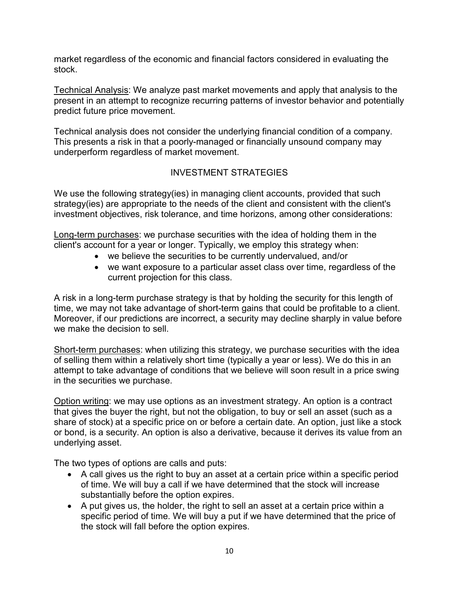market regardless of the economic and financial factors considered in evaluating the stock.

Technical Analysis: We analyze past market movements and apply that analysis to the present in an attempt to recognize recurring patterns of investor behavior and potentially predict future price movement.

Technical analysis does not consider the underlying financial condition of a company. This presents a risk in that a poorly-managed or financially unsound company may underperform regardless of market movement.

### INVESTMENT STRATEGIES

We use the following strategy(ies) in managing client accounts, provided that such strategy(ies) are appropriate to the needs of the client and consistent with the client's investment objectives, risk tolerance, and time horizons, among other considerations:

Long-term purchases: we purchase securities with the idea of holding them in the client's account for a year or longer. Typically, we employ this strategy when:

- we believe the securities to be currently undervalued, and/or
- we want exposure to a particular asset class over time, regardless of the current projection for this class.

A risk in a long-term purchase strategy is that by holding the security for this length of time, we may not take advantage of short-term gains that could be profitable to a client. Moreover, if our predictions are incorrect, a security may decline sharply in value before we make the decision to sell.

Short-term purchases: when utilizing this strategy, we purchase securities with the idea of selling them within a relatively short time (typically a year or less). We do this in an attempt to take advantage of conditions that we believe will soon result in a price swing in the securities we purchase.

Option writing: we may use options as an investment strategy. An option is a contract that gives the buyer the right, but not the obligation, to buy or sell an asset (such as a share of stock) at a specific price on or before a certain date. An option, just like a stock or bond, is a security. An option is also a derivative, because it derives its value from an underlying asset.

The two types of options are calls and puts:

- A call gives us the right to buy an asset at a certain price within a specific period of time. We will buy a call if we have determined that the stock will increase substantially before the option expires.
- A put gives us, the holder, the right to sell an asset at a certain price within a specific period of time. We will buy a put if we have determined that the price of the stock will fall before the option expires.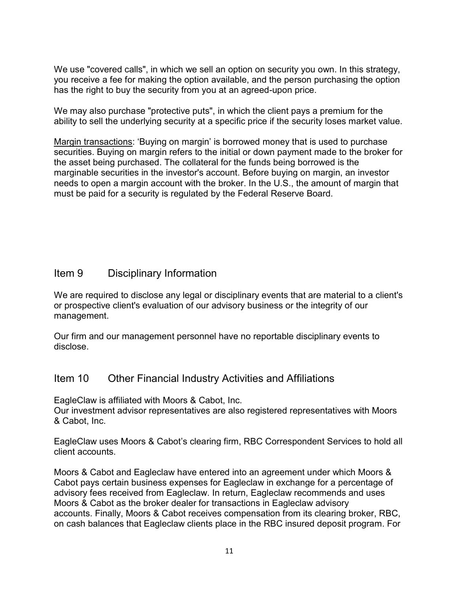We use "covered calls", in which we sell an option on security you own. In this strategy, you receive a fee for making the option available, and the person purchasing the option has the right to buy the security from you at an agreed-upon price.

We may also purchase "protective puts", in which the client pays a premium for the ability to sell the underlying security at a specific price if the security loses market value.

Margin transactions: 'Buying on margin' is borrowed money that is used to purchase securities. Buying on margin refers to the initial or down payment made to the broker for the asset being purchased. The collateral for the funds being borrowed is the marginable securities in the investor's account. Before buying on margin, an investor needs to open a margin account with the broker. In the U.S., the amount of margin that must be paid for a security is regulated by the Federal Reserve Board.

### Item 9 Disciplinary Information

We are required to disclose any legal or disciplinary events that are material to a client's or prospective client's evaluation of our advisory business or the integrity of our management.

Our firm and our management personnel have no reportable disciplinary events to disclose.

#### Item 10 Other Financial Industry Activities and Affiliations

EagleClaw is affiliated with Moors & Cabot, Inc.

Our investment advisor representatives are also registered representatives with Moors & Cabot, Inc.

EagleClaw uses Moors & Cabot's clearing firm, RBC Correspondent Services to hold all client accounts.

Moors & Cabot and Eagleclaw have entered into an agreement under which Moors & Cabot pays certain business expenses for Eagleclaw in exchange for a percentage of advisory fees received from Eagleclaw. In return, Eagleclaw recommends and uses Moors & Cabot as the broker dealer for transactions in Eagleclaw advisory accounts. Finally, Moors & Cabot receives compensation from its clearing broker, RBC, on cash balances that Eagleclaw clients place in the RBC insured deposit program. For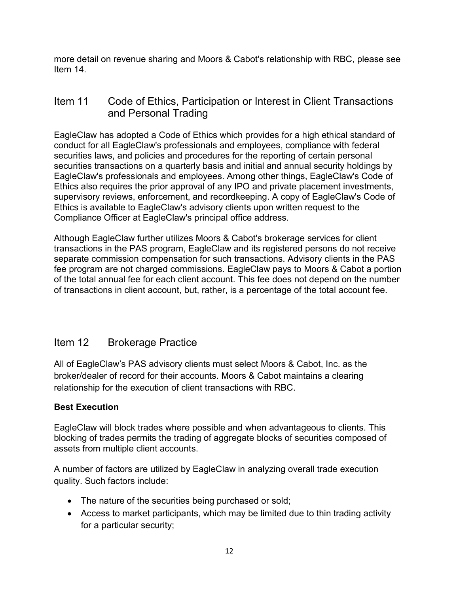more detail on revenue sharing and Moors & Cabot's relationship with RBC, please see Item 14.

## Item 11 Code of Ethics, Participation or Interest in Client Transactions and Personal Trading

EagleClaw has adopted a Code of Ethics which provides for a high ethical standard of conduct for all EagleClaw's professionals and employees, compliance with federal securities laws, and policies and procedures for the reporting of certain personal securities transactions on a quarterly basis and initial and annual security holdings by EagleClaw's professionals and employees. Among other things, EagleClaw's Code of Ethics also requires the prior approval of any IPO and private placement investments, supervisory reviews, enforcement, and recordkeeping. A copy of EagleClaw's Code of Ethics is available to EagleClaw's advisory clients upon written request to the Compliance Officer at EagleClaw's principal office address.

Although EagleClaw further utilizes Moors & Cabot's brokerage services for client transactions in the PAS program, EagleClaw and its registered persons do not receive separate commission compensation for such transactions. Advisory clients in the PAS fee program are not charged commissions. EagleClaw pays to Moors & Cabot a portion of the total annual fee for each client account. This fee does not depend on the number of transactions in client account, but, rather, is a percentage of the total account fee.

## Item 12 Brokerage Practice

All of EagleClaw's PAS advisory clients must select Moors & Cabot, Inc. as the broker/dealer of record for their accounts. Moors & Cabot maintains a clearing relationship for the execution of client transactions with RBC.

#### Best Execution

EagleClaw will block trades where possible and when advantageous to clients. This blocking of trades permits the trading of aggregate blocks of securities composed of assets from multiple client accounts.

A number of factors are utilized by EagleClaw in analyzing overall trade execution quality. Such factors include:

- The nature of the securities being purchased or sold;
- Access to market participants, which may be limited due to thin trading activity for a particular security;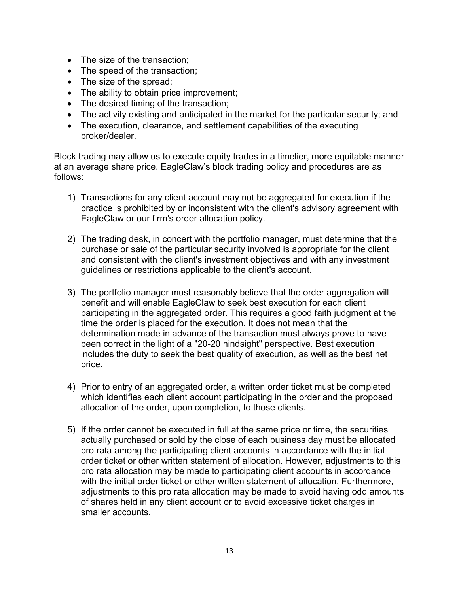- The size of the transaction;
- The speed of the transaction;
- The size of the spread;
- The ability to obtain price improvement;
- The desired timing of the transaction;
- The activity existing and anticipated in the market for the particular security; and
- The execution, clearance, and settlement capabilities of the executing broker/dealer.

Block trading may allow us to execute equity trades in a timelier, more equitable manner at an average share price. EagleClaw's block trading policy and procedures are as follows:

- 1) Transactions for any client account may not be aggregated for execution if the practice is prohibited by or inconsistent with the client's advisory agreement with EagleClaw or our firm's order allocation policy.
- 2) The trading desk, in concert with the portfolio manager, must determine that the purchase or sale of the particular security involved is appropriate for the client and consistent with the client's investment objectives and with any investment guidelines or restrictions applicable to the client's account.
- 3) The portfolio manager must reasonably believe that the order aggregation will benefit and will enable EagleClaw to seek best execution for each client participating in the aggregated order. This requires a good faith judgment at the time the order is placed for the execution. It does not mean that the determination made in advance of the transaction must always prove to have been correct in the light of a "20-20 hindsight" perspective. Best execution includes the duty to seek the best quality of execution, as well as the best net price.
- 4) Prior to entry of an aggregated order, a written order ticket must be completed which identifies each client account participating in the order and the proposed allocation of the order, upon completion, to those clients.
- 5) If the order cannot be executed in full at the same price or time, the securities actually purchased or sold by the close of each business day must be allocated pro rata among the participating client accounts in accordance with the initial order ticket or other written statement of allocation. However, adjustments to this pro rata allocation may be made to participating client accounts in accordance with the initial order ticket or other written statement of allocation. Furthermore, adjustments to this pro rata allocation may be made to avoid having odd amounts of shares held in any client account or to avoid excessive ticket charges in smaller accounts.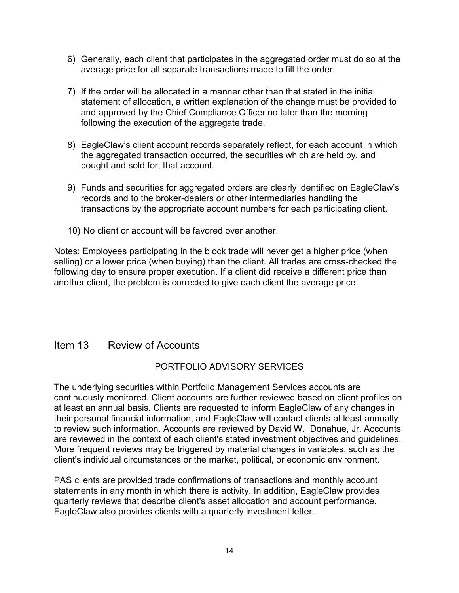- 6) Generally, each client that participates in the aggregated order must do so at the average price for all separate transactions made to fill the order.
- 7) If the order will be allocated in a manner other than that stated in the initial statement of allocation, a written explanation of the change must be provided to and approved by the Chief Compliance Officer no later than the morning following the execution of the aggregate trade.
- 8) EagleClaw's client account records separately reflect, for each account in which the aggregated transaction occurred, the securities which are held by, and bought and sold for, that account.
- 9) Funds and securities for aggregated orders are clearly identified on EagleClaw's records and to the broker-dealers or other intermediaries handling the transactions by the appropriate account numbers for each participating client.
- 10) No client or account will be favored over another.

Notes: Employees participating in the block trade will never get a higher price (when selling) or a lower price (when buying) than the client. All trades are cross-checked the following day to ensure proper execution. If a client did receive a different price than another client, the problem is corrected to give each client the average price.

#### Item 13 Review of Accounts

#### PORTFOLIO ADVISORY SERVICES

The underlying securities within Portfolio Management Services accounts are continuously monitored. Client accounts are further reviewed based on client profiles on at least an annual basis. Clients are requested to inform EagleClaw of any changes in their personal financial information, and EagleClaw will contact clients at least annually to review such information. Accounts are reviewed by David W. Donahue, Jr. Accounts are reviewed in the context of each client's stated investment objectives and guidelines. More frequent reviews may be triggered by material changes in variables, such as the client's individual circumstances or the market, political, or economic environment.

PAS clients are provided trade confirmations of transactions and monthly account statements in any month in which there is activity. In addition, EagleClaw provides quarterly reviews that describe client's asset allocation and account performance. EagleClaw also provides clients with a quarterly investment letter.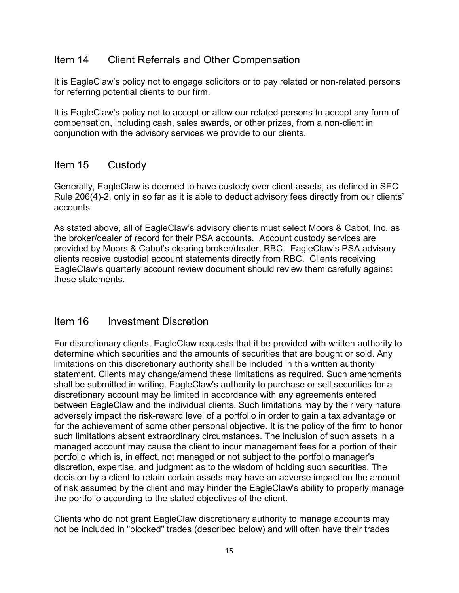### Item 14 Client Referrals and Other Compensation

It is EagleClaw's policy not to engage solicitors or to pay related or non-related persons for referring potential clients to our firm.

It is EagleClaw's policy not to accept or allow our related persons to accept any form of compensation, including cash, sales awards, or other prizes, from a non-client in conjunction with the advisory services we provide to our clients.

### Item 15 Custody

Generally, EagleClaw is deemed to have custody over client assets, as defined in SEC Rule 206(4)-2, only in so far as it is able to deduct advisory fees directly from our clients' accounts.

As stated above, all of EagleClaw's advisory clients must select Moors & Cabot, Inc. as the broker/dealer of record for their PSA accounts. Account custody services are provided by Moors & Cabot's clearing broker/dealer, RBC. EagleClaw's PSA advisory clients receive custodial account statements directly from RBC. Clients receiving EagleClaw's quarterly account review document should review them carefully against these statements.

### Item 16 Investment Discretion

For discretionary clients, EagleClaw requests that it be provided with written authority to determine which securities and the amounts of securities that are bought or sold. Any limitations on this discretionary authority shall be included in this written authority statement. Clients may change/amend these limitations as required. Such amendments shall be submitted in writing. EagleClaw's authority to purchase or sell securities for a discretionary account may be limited in accordance with any agreements entered between EagleClaw and the individual clients. Such limitations may by their very nature adversely impact the risk-reward level of a portfolio in order to gain a tax advantage or for the achievement of some other personal objective. It is the policy of the firm to honor such limitations absent extraordinary circumstances. The inclusion of such assets in a managed account may cause the client to incur management fees for a portion of their portfolio which is, in effect, not managed or not subject to the portfolio manager's discretion, expertise, and judgment as to the wisdom of holding such securities. The decision by a client to retain certain assets may have an adverse impact on the amount of risk assumed by the client and may hinder the EagleClaw's ability to properly manage the portfolio according to the stated objectives of the client.

Clients who do not grant EagleClaw discretionary authority to manage accounts may not be included in "blocked" trades (described below) and will often have their trades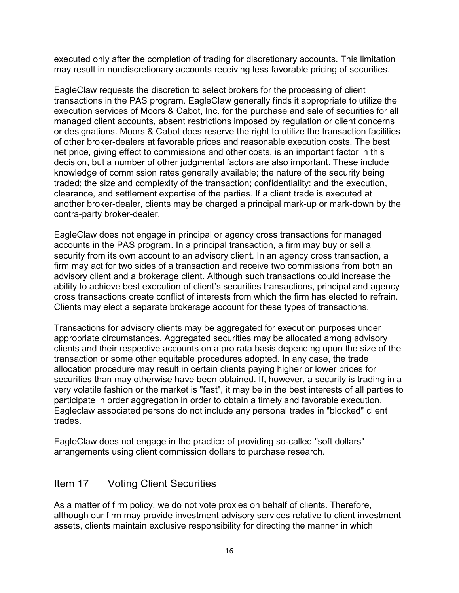executed only after the completion of trading for discretionary accounts. This limitation may result in nondiscretionary accounts receiving less favorable pricing of securities.

EagleClaw requests the discretion to select brokers for the processing of client transactions in the PAS program. EagleClaw generally finds it appropriate to utilize the execution services of Moors & Cabot, Inc. for the purchase and sale of securities for all managed client accounts, absent restrictions imposed by regulation or client concerns or designations. Moors & Cabot does reserve the right to utilize the transaction facilities of other broker-dealers at favorable prices and reasonable execution costs. The best net price, giving effect to commissions and other costs, is an important factor in this decision, but a number of other judgmental factors are also important. These include knowledge of commission rates generally available; the nature of the security being traded; the size and complexity of the transaction; confidentiality: and the execution, clearance, and settlement expertise of the parties. If a client trade is executed at another broker-dealer, clients may be charged a principal mark-up or mark-down by the contra-party broker-dealer.

EagleClaw does not engage in principal or agency cross transactions for managed accounts in the PAS program. In a principal transaction, a firm may buy or sell a security from its own account to an advisory client. In an agency cross transaction, a firm may act for two sides of a transaction and receive two commissions from both an advisory client and a brokerage client. Although such transactions could increase the ability to achieve best execution of client's securities transactions, principal and agency cross transactions create conflict of interests from which the firm has elected to refrain. Clients may elect a separate brokerage account for these types of transactions.

Transactions for advisory clients may be aggregated for execution purposes under appropriate circumstances. Aggregated securities may be allocated among advisory clients and their respective accounts on a pro rata basis depending upon the size of the transaction or some other equitable procedures adopted. In any case, the trade allocation procedure may result in certain clients paying higher or lower prices for securities than may otherwise have been obtained. If, however, a security is trading in a very volatile fashion or the market is "fast", it may be in the best interests of all parties to participate in order aggregation in order to obtain a timely and favorable execution. Eagleclaw associated persons do not include any personal trades in "blocked" client trades.

EagleClaw does not engage in the practice of providing so-called "soft dollars" arrangements using client commission dollars to purchase research.

### Item 17 Voting Client Securities

As a matter of firm policy, we do not vote proxies on behalf of clients. Therefore, although our firm may provide investment advisory services relative to client investment assets, clients maintain exclusive responsibility for directing the manner in which